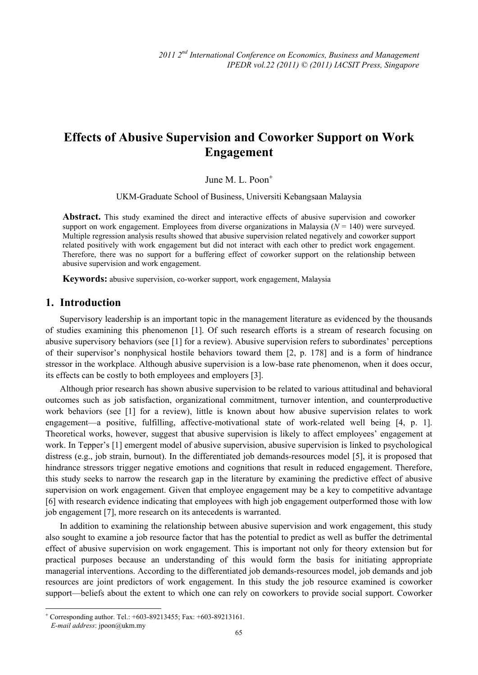# **Effects of Abusive Supervision and Coworker Support on Work Engagement**

## June M. L. Poon<sup>+</sup>

UKM-Graduate School of Business, Universiti Kebangsaan Malaysia

**Abstract.** This study examined the direct and interactive effects of abusive supervision and coworker support on work engagement. Employees from diverse organizations in Malaysia  $(N = 140)$  were surveyed. Multiple regression analysis results showed that abusive supervision related negatively and coworker support related positively with work engagement but did not interact with each other to predict work engagement. Therefore, there was no support for a buffering effect of coworker support on the relationship between abusive supervision and work engagement.

**Keywords:** abusive supervision, co-worker support, work engagement, Malaysia

# **1. Introduction**

 $\overline{a}$ 

Supervisory leadership is an important topic in the management literature as evidenced by the thousands of studies examining this phenomenon [1]. Of such research efforts is a stream of research focusing on abusive supervisory behaviors (see [1] for a review). Abusive supervision refers to subordinates' perceptions of their supervisor's nonphysical hostile behaviors toward them [2, p. 178] and is a form of hindrance stressor in the workplace. Although abusive supervision is a low-base rate phenomenon, when it does occur, its effects can be costly to both employees and employers [3].

Although prior research has shown abusive supervision to be related to various attitudinal and behavioral outcomes such as job satisfaction, organizational commitment, turnover intention, and counterproductive work behaviors (see [1] for a review), little is known about how abusive supervision relates to work engagement—a positive, fulfilling, affective-motivational state of work-related well being [4, p. 1]. Theoretical works, however, suggest that abusive supervision is likely to affect employees' engagement at work. In Tepper's [1] emergent model of abusive supervision, abusive supervision is linked to psychological distress (e.g., job strain, burnout). In the differentiated job demands-resources model [5], it is proposed that hindrance stressors trigger negative emotions and cognitions that result in reduced engagement. Therefore, this study seeks to narrow the research gap in the literature by examining the predictive effect of abusive supervision on work engagement. Given that employee engagement may be a key to competitive advantage [6] with research evidence indicating that employees with high job engagement outperformed those with low job engagement [7], more research on its antecedents is warranted.

In addition to examining the relationship between abusive supervision and work engagement, this study also sought to examine a job resource factor that has the potential to predict as well as buffer the detrimental effect of abusive supervision on work engagement. This is important not only for theory extension but for practical purposes because an understanding of this would form the basis for initiating appropriate managerial interventions. According to the differentiated job demands-resources model, job demands and job resources are joint predictors of work engagement. In this study the job resource examined is coworker support—beliefs about the extent to which one can rely on coworkers to provide social support. Coworker

65

<sup>+</sup> Corresponding author. Tel.: +603-89213455; Fax: +603-89213161. *E-mail address*: jpoon@ukm.my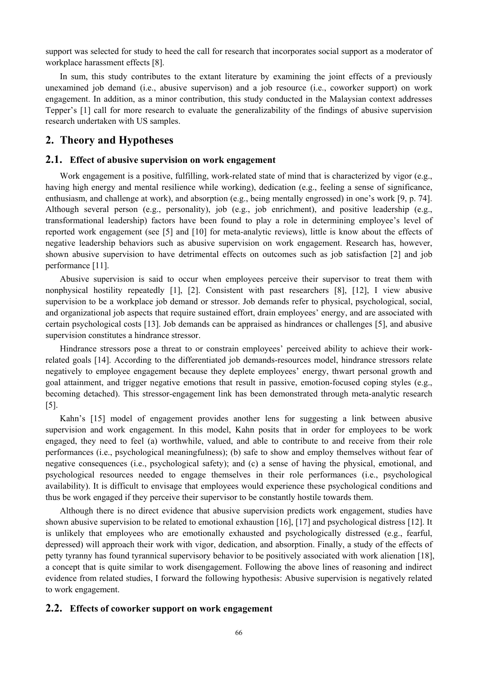support was selected for study to heed the call for research that incorporates social support as a moderator of workplace harassment effects [8].

In sum, this study contributes to the extant literature by examining the joint effects of a previously unexamined job demand (i.e., abusive supervison) and a job resource (i.e., coworker support) on work engagement. In addition, as a minor contribution, this study conducted in the Malaysian context addresses Tepper's [1] call for more research to evaluate the generalizability of the findings of abusive supervision research undertaken with US samples.

## **2. Theory and Hypotheses**

#### **2.1. Effect of abusive supervision on work engagement**

Work engagement is a positive, fulfilling, work-related state of mind that is characterized by vigor (e.g., having high energy and mental resilience while working), dedication (e.g., feeling a sense of significance, enthusiasm, and challenge at work), and absorption (e.g., being mentally engrossed) in one's work [9, p. 74]. Although several person (e.g., personality), job (e.g., job enrichment), and positive leadership (e.g., transformational leadership) factors have been found to play a role in determining employee's level of reported work engagement (see [5] and [10] for meta-analytic reviews), little is know about the effects of negative leadership behaviors such as abusive supervision on work engagement. Research has, however, shown abusive supervision to have detrimental effects on outcomes such as job satisfaction [2] and job performance [11].

Abusive supervision is said to occur when employees perceive their supervisor to treat them with nonphysical hostility repeatedly [1], [2]. Consistent with past researchers [8], [12], I view abusive supervision to be a workplace job demand or stressor. Job demands refer to physical, psychological, social, and organizational job aspects that require sustained effort, drain employees' energy, and are associated with certain psychological costs [13]. Job demands can be appraised as hindrances or challenges [5], and abusive supervision constitutes a hindrance stressor.

Hindrance stressors pose a threat to or constrain employees' perceived ability to achieve their workrelated goals [14]. According to the differentiated job demands-resources model, hindrance stressors relate negatively to employee engagement because they deplete employees' energy, thwart personal growth and goal attainment, and trigger negative emotions that result in passive, emotion-focused coping styles (e.g., becoming detached). This stressor-engagement link has been demonstrated through meta-analytic research [5].

Kahn's [15] model of engagement provides another lens for suggesting a link between abusive supervision and work engagement. In this model, Kahn posits that in order for employees to be work engaged, they need to feel (a) worthwhile, valued, and able to contribute to and receive from their role performances (i.e., psychological meaningfulness); (b) safe to show and employ themselves without fear of negative consequences (i.e., psychological safety); and (c) a sense of having the physical, emotional, and psychological resources needed to engage themselves in their role performances (i.e., psychological availability). It is difficult to envisage that employees would experience these psychological conditions and thus be work engaged if they perceive their supervisor to be constantly hostile towards them.

Although there is no direct evidence that abusive supervision predicts work engagement, studies have shown abusive supervision to be related to emotional exhaustion [16], [17] and psychological distress [12]. It is unlikely that employees who are emotionally exhausted and psychologically distressed (e.g., fearful, depressed) will approach their work with vigor, dedication, and absorption. Finally, a study of the effects of petty tyranny has found tyrannical supervisory behavior to be positively associated with work alienation [18], a concept that is quite similar to work disengagement. Following the above lines of reasoning and indirect evidence from related studies, I forward the following hypothesis: Abusive supervision is negatively related to work engagement.

#### **2.2. Effects of coworker support on work engagement**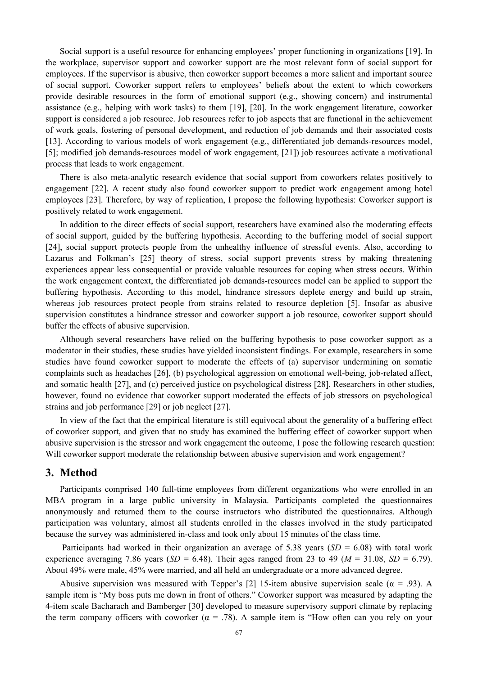Social support is a useful resource for enhancing employees' proper functioning in organizations [19]. In the workplace, supervisor support and coworker support are the most relevant form of social support for employees. If the supervisor is abusive, then coworker support becomes a more salient and important source of social support. Coworker support refers to employees' beliefs about the extent to which coworkers provide desirable resources in the form of emotional support (e.g., showing concern) and instrumental assistance (e.g., helping with work tasks) to them [19], [20]. In the work engagement literature, coworker support is considered a job resource. Job resources refer to job aspects that are functional in the achievement of work goals, fostering of personal development, and reduction of job demands and their associated costs [13]. According to various models of work engagement (e.g., differentiated job demands-resources model, [5]; modified job demands-resources model of work engagement, [21]) job resources activate a motivational process that leads to work engagement.

There is also meta-analytic research evidence that social support from coworkers relates positively to engagement [22]. A recent study also found coworker support to predict work engagement among hotel employees [23]. Therefore, by way of replication, I propose the following hypothesis: Coworker support is positively related to work engagement.

In addition to the direct effects of social support, researchers have examined also the moderating effects of social support, guided by the buffering hypothesis. According to the buffering model of social support [24], social support protects people from the unhealthy influence of stressful events. Also, according to Lazarus and Folkman's [25] theory of stress, social support prevents stress by making threatening experiences appear less consequential or provide valuable resources for coping when stress occurs. Within the work engagement context, the differentiated job demands-resources model can be applied to support the buffering hypothesis. According to this model, hindrance stressors deplete energy and build up strain, whereas job resources protect people from strains related to resource depletion [5]. Insofar as abusive supervision constitutes a hindrance stressor and coworker support a job resource, coworker support should buffer the effects of abusive supervision.

Although several researchers have relied on the buffering hypothesis to pose coworker support as a moderator in their studies, these studies have yielded inconsistent findings. For example, researchers in some studies have found coworker support to moderate the effects of (a) supervisor undermining on somatic complaints such as headaches [26], (b) psychological aggression on emotional well-being, job-related affect, and somatic health [27], and (c) perceived justice on psychological distress [28]. Researchers in other studies, however, found no evidence that coworker support moderated the effects of job stressors on psychological strains and job performance [29] or job neglect [27].

In view of the fact that the empirical literature is still equivocal about the generality of a buffering effect of coworker support, and given that no study has examined the buffering effect of coworker support when abusive supervision is the stressor and work engagement the outcome, I pose the following research question: Will coworker support moderate the relationship between abusive supervision and work engagement?

### **3. Method**

Participants comprised 140 full-time employees from different organizations who were enrolled in an MBA program in a large public university in Malaysia. Participants completed the questionnaires anonymously and returned them to the course instructors who distributed the questionnaires. Although participation was voluntary, almost all students enrolled in the classes involved in the study participated because the survey was administered in-class and took only about 15 minutes of the class time.

Participants had worked in their organization an average of 5.38 years  $(SD = 6.08)$  with total work experience averaging 7.86 years (*SD* = 6.48). Their ages ranged from 23 to 49 ( $M = 31.08$ , *SD* = 6.79). About 49% were male, 45% were married, and all held an undergraduate or a more advanced degree.

Abusive supervision was measured with Tepper's [2] 15-item abusive supervision scale ( $\alpha$  = .93). A sample item is "My boss puts me down in front of others." Coworker support was measured by adapting the 4-item scale Bacharach and Bamberger [30] developed to measure supervisory support climate by replacing the term company officers with coworker ( $\alpha$  = .78). A sample item is "How often can you rely on your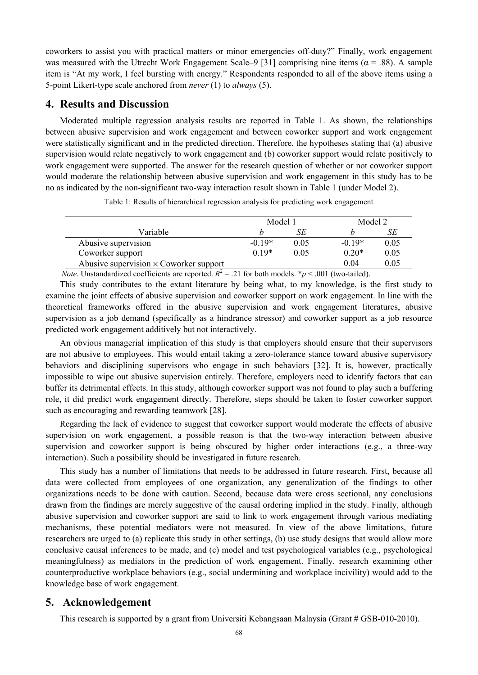coworkers to assist you with practical matters or minor emergencies off-duty?" Finally, work engagement was measured with the Utrecht Work Engagement Scale–9 [31] comprising nine items ( $\alpha$  = .88). A sample item is "At my work, I feel bursting with energy." Respondents responded to all of the above items using a 5-point Likert-type scale anchored from *never* (1) to *always* (5).

# **4. Results and Discussion**

Moderated multiple regression analysis results are reported in Table 1. As shown, the relationships between abusive supervision and work engagement and between coworker support and work engagement were statistically significant and in the predicted direction. Therefore, the hypotheses stating that (a) abusive supervision would relate negatively to work engagement and (b) coworker support would relate positively to work engagement were supported. The answer for the research question of whether or not coworker support would moderate the relationship between abusive supervision and work engagement in this study has to be no as indicated by the non-significant two-way interaction result shown in Table 1 (under Model 2).

|                                               | Model 1  |      | Model 2  |      |
|-----------------------------------------------|----------|------|----------|------|
| Variable                                      |          | SE   |          | SE   |
| Abusive supervision                           | $-0.19*$ | 0.05 | $-0.19*$ | 0.05 |
| Coworker support                              | $0.19*$  | 0.05 | $0.20*$  | 0.05 |
| Abusive supervision $\times$ Coworker support |          |      | 0.04     | 0.05 |

Table 1: Results of hierarchical regression analysis for predicting work engagement

*Note*. Unstandardized coefficients are reported.  $R^2 = .21$  for both models. \**p* < .001 (two-tailed).

This study contributes to the extant literature by being what, to my knowledge, is the first study to examine the joint effects of abusive supervision and coworker support on work engagement. In line with the theoretical frameworks offered in the abusive supervision and work engagement literatures, abusive supervision as a job demand (specifically as a hindrance stressor) and coworker support as a job resource predicted work engagement additively but not interactively.

An obvious managerial implication of this study is that employers should ensure that their supervisors are not abusive to employees. This would entail taking a zero-tolerance stance toward abusive supervisory behaviors and disciplining supervisors who engage in such behaviors [32]. It is, however, practically impossible to wipe out abusive supervision entirely. Therefore, employers need to identify factors that can buffer its detrimental effects. In this study, although coworker support was not found to play such a buffering role, it did predict work engagement directly. Therefore, steps should be taken to foster coworker support such as encouraging and rewarding teamwork [28].

Regarding the lack of evidence to suggest that coworker support would moderate the effects of abusive supervision on work engagement, a possible reason is that the two-way interaction between abusive supervision and coworker support is being obscured by higher order interactions (e.g., a three-way interaction). Such a possibility should be investigated in future research.

This study has a number of limitations that needs to be addressed in future research. First, because all data were collected from employees of one organization, any generalization of the findings to other organizations needs to be done with caution. Second, because data were cross sectional, any conclusions drawn from the findings are merely suggestive of the causal ordering implied in the study. Finally, although abusive supervision and coworker support are said to link to work engagement through various mediating mechanisms, these potential mediators were not measured. In view of the above limitations, future researchers are urged to (a) replicate this study in other settings, (b) use study designs that would allow more conclusive causal inferences to be made, and (c) model and test psychological variables (e.g., psychological meaningfulness) as mediators in the prediction of work engagement. Finally, research examining other counterproductive workplace behaviors (e.g., social undermining and workplace incivility) would add to the knowledge base of work engagement.

### **5. Acknowledgement**

This research is supported by a grant from Universiti Kebangsaan Malaysia (Grant # GSB-010-2010).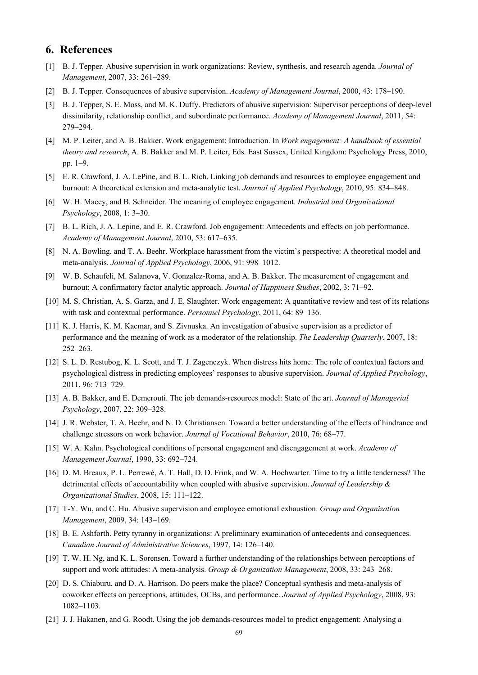# **6. References**

- [1] B. J. Tepper. Abusive supervision in work organizations: Review, synthesis, and research agenda. *Journal of Management*, 2007, 33: 261–289.
- [2] B. J. Tepper. Consequences of abusive supervision. *Academy of Management Journal*, 2000, 43: 178–190.
- [3] B. J. Tepper, S. E. Moss, and M. K. Duffy. Predictors of abusive supervision: Supervisor perceptions of deep-level dissimilarity, relationship conflict, and subordinate performance. *Academy of Management Journal*, 2011, 54: 279–294.
- [4] M. P. Leiter, and A. B. Bakker. Work engagement: Introduction. In *Work engagement: A handbook of essential theory and research*, A. B. Bakker and M. P. Leiter, Eds. East Sussex, United Kingdom: Psychology Press, 2010, pp. 1–9.
- [5] E. R. Crawford, J. A. LePine, and B. L. Rich. Linking job demands and resources to employee engagement and burnout: A theoretical extension and meta-analytic test. *Journal of Applied Psychology*, 2010, 95: 834–848.
- [6] W. H. Macey, and B. Schneider. The meaning of employee engagement. *Industrial and Organizational Psychology*, 2008, 1: 3–30.
- [7] B. L. Rich, J. A. Lepine, and E. R. Crawford. Job engagement: Antecedents and effects on job performance. *Academy of Management Journal*, 2010, 53: 617–635.
- [8] N. A. Bowling, and T. A. Beehr. Workplace harassment from the victim's perspective: A theoretical model and meta-analysis. *Journal of Applied Psychology*, 2006, 91: 998–1012.
- [9] W. B. Schaufeli, M. Salanova, V. Gonzalez-Roma, and A. B. Bakker. The measurement of engagement and burnout: A confirmatory factor analytic approach. *Journal of Happiness Studies*, 2002, 3: 71–92.
- [10] M. S. Christian, A. S. Garza, and J. E. Slaughter. Work engagement: A quantitative review and test of its relations with task and contextual performance. *Personnel Psychology*, 2011, 64: 89–136.
- [11] K. J. Harris, K. M. Kacmar, and S. Zivnuska. An investigation of abusive supervision as a predictor of performance and the meaning of work as a moderator of the relationship. *The Leadership Quarterly*, 2007, 18: 252–263.
- [12] S. L. D. Restubog, K. L. Scott, and T. J. Zagenczyk. When distress hits home: The role of contextual factors and psychological distress in predicting employees' responses to abusive supervision. *Journal of Applied Psychology*, 2011, 96: 713–729.
- [13] A. B. Bakker, and E. Demerouti. The job demands-resources model: State of the art. *Journal of Managerial Psychology*, 2007, 22: 309–328.
- [14] J. R. Webster, T. A. Beehr, and N. D. Christiansen. Toward a better understanding of the effects of hindrance and challenge stressors on work behavior. *Journal of Vocational Behavior*, 2010, 76: 68–77.
- [15] W. A. Kahn. Psychological conditions of personal engagement and disengagement at work. *Academy of Management Journal*, 1990, 33: 692–724.
- [16] D. M. Breaux, P. L. Perrewé, A. T. Hall, D. D. Frink, and W. A. Hochwarter. Time to try a little tenderness? The detrimental effects of accountability when coupled with abusive supervision. *Journal of Leadership & Organizational Studies*, 2008, 15: 111–122.
- [17] T-Y. Wu, and C. Hu. Abusive supervision and employee emotional exhaustion. *Group and Organization Management*, 2009, 34: 143–169.
- [18] B. E. Ashforth. Petty tyranny in organizations: A preliminary examination of antecedents and consequences. *Canadian Journal of Administrative Sciences*, 1997, 14: 126–140.
- [19] T. W. H. Ng, and K. L. Sorensen. Toward a further understanding of the relationships between perceptions of support and work attitudes: A meta-analysis. *Group & Organization Management*, 2008, 33: 243–268.
- [20] D. S. Chiaburu, and D. A. Harrison. Do peers make the place? Conceptual synthesis and meta-analysis of coworker effects on perceptions, attitudes, OCBs, and performance. *Journal of Applied Psychology*, 2008, 93: 1082–1103.
- [21] J. J. Hakanen, and G. Roodt. Using the job demands-resources model to predict engagement: Analysing a